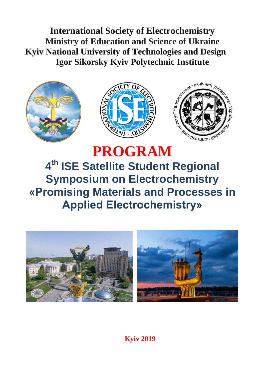**International Society of Electrochemistry [Ministry of Education and](http://context.reverso.net/%D0%BF%D0%B5%D1%80%D0%B5%D0%B2%D0%BE%D0%B4/%D0%B0%D0%BD%D0%B3%D0%BB%D0%B8%D0%B9%D1%81%D0%BA%D0%B8%D0%B9-%D1%80%D1%83%D1%81%D1%81%D0%BA%D0%B8%D0%B9/Ministry+of+education+and+science+of+Ukraine) Science of Ukraine Kyiv National University of Technologies and Design Igor Sikorsky Kyiv Polytechnic Institute**







# **PROGRAM 4 th ISE Satellite Student Regional Symposium on Electrochemistry «Promising Materials and Processes in Applied Electrochemistry»**



**Kyiv 2019**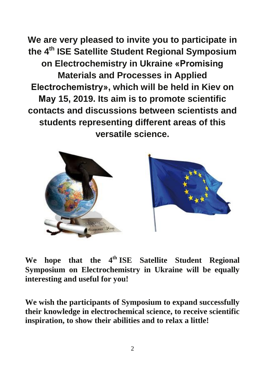**We are very pleased to invite you to participate in the 4 th ISE Satellite Student Regional Symposium on Electrochemistry in Ukraine «Promising Materials and Processes in Applied Electrochemistry», which will be held in Kiev on Мау 15, 2019. Its aim is to promote scientific contacts and discussions between scientists and students representing different areas of this versatile science.**



We hope that the 4<sup>th</sup> ISE Satellite Student Regional **Symposium on Electrochemistry in Ukraine will be equally interesting and useful for you!**

**We wish the participants of Symposium to expand successfully their knowledge in electrochemical science, to receive scientific inspiration, to show their abilities and to relax a little!**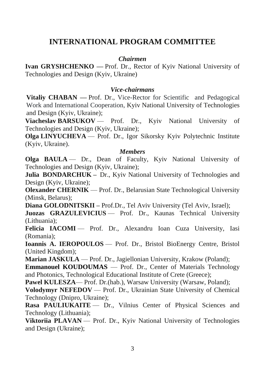## **INTERNATIONAL PROGRAM COMMITTEE**

#### *Chairmen*

**Ivan GRYSHCHENKO** — Prof. Dr., Rector of Kyiv National University of Technologies and Design (Kyiv, Ukraine)

#### *Vice-chairmans*

**Vitaliy CHABAN —** Prof. Dr., Vice-Rector for Scientific and Pedagogical Work and International Cooperation, Kyiv National University of Technologies and Design (Kyiv, Ukraine);

**Viacheslav BARSUKOV** — Prof. Dr., Kyiv National University of Technologies and Design (Kyiv, Ukraine);

**Olga LINYUCHEVA** — Prof. Dr., Igor Sikorsky Kyiv Polytechnic Institute (Kyiv, Ukraine).

#### *Members*

**Olga BAULA** — Dr., Dean of Faculty, Kyiv National University of Technologies and Design (Kyiv, Ukraine);

**Julia BONDARCHUK –** Dr., Kyiv National University of Technologies and Design (Kyiv, Ukraine);

**Olexander CHERNIK** — Prof. Dr., Belarusian State Technological University (Minsk, Belarus);

**Diana GOLODNITSKII –** Prof.Dr., Tel Aviv University (Tel Aviv, Israel);

**Juozas GRAZULEVICIUS** — Prof. Dr., Kaunas Technical University (Lithuania);

Felicia IACOMI — Prof. Dr., Alexandru Ioan Cuza University, Iasi (Romania);

**Ioannis A. IEROPOULOS** — Prof. Dr., Bristol BioEnergy Centre, Bristol (United Kingdom);

**Marian JASKULA** — Prof. Dr., Jagiellonian University, Krakow (Poland);

**Emmanouel KOUDOUMAS** — Prof. Dr., Center of Materials Technology and Photonics, Technological Educational Institute of Crete (Greece);

Pawel KULESZA— Prof. Dr.(hab.), Warsaw University (Warsaw, Poland);

**Volodymyr NEFEDOV** — Prof. Dr., Ukrainian State University of Chemical Technology (Dnipro, Ukraine);

**Rasa PAULIUKAITE** — Dr., Vilnius Center of Physical Sciences and Technology (Lithuania);

**Viktoriia PLAVAN** — Prof. Dr., Kyiv National University of Technologies and Design (Ukraine);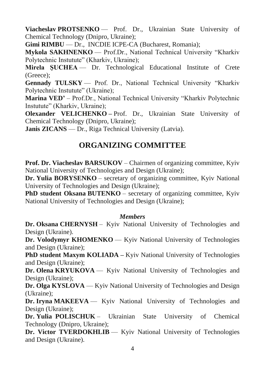**Viacheslav PROTSENKO** — Prof. Dr., Ukrainian State University of Chemical Technology (Dnipro, Ukraine);

**Gimi RIMBU** — Dr., INCDIE ICPE-CA (Bucharest, Romania);

**Mykola SAKHNENKO** — Prof.Dr., National Technical University "Kharkiv Polytechnic Instutute" (Kharkiv, Ukraine);

**Mirela ŞUCHEA** — Dr. Technological Educational Institute of Crete (Greece);

**Gennady TULSKY** — Prof. Dr., National Technical University "Kharkiv Polytechnic Instutute" (Ukraine);

**Marina VED'** – Prof.Dr., National Technical University "Kharkiv Polytechnic Instutute" (Kharkiv, Ukraine);

**Olexander VELICHENKO** – Prof. Dr., Ukrainian State University of Chemical Technology (Dnipro, Ukraine);

**Janis ZICANS** — Dr., Riga Technical University (Latvia).

## **ORGANIZING COMMITTEE**

**Prof. Dr. Viacheslav BARSUKOV** – Chairmen of organizing committee, Kyiv National University of Technologies and Design (Ukraine);

**Dr. Yulia BORYSENKO** – secretary of organizing committee, Kyiv National University of Technologies and Design (Ukraine);

**PhD student Oksana BUTENKO** – secretary of organizing committee, Kyiv National University of Technologies and Design (Ukraine);

#### *Members*

**Dr. Oksana CHERNYSH** – Kyiv National University of Technologies and Design (Ukraine).

**Dr. Volodymyr KHOMENKO** — Kyiv National University of Technologies and Design (Ukraine);

**PhD student Maxym KOLIADA** – Kyiv National University of Technologies and Design (Ukraine);

**Dr. Olena KRYUKOVA** — Kyiv National University of Technologies and Design (Ukraine);

**Dr. Olga KYSLOVA** — Kyiv National University of Technologies and Design (Ukraine);

**Dr. Iryna MAKEEVA** — Kyiv National University of Technologies and Design (Ukraine);

**Dr. Yulia POLISCHUK** – Ukrainian State University of Chemical Technology (Dnipro, Ukraine);

**Dr. Victor TVERDOKHLIB** — Kyiv National University of Technologies and Design (Ukraine).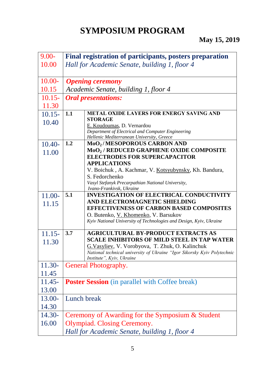## **SYMPOSIUM PROGRAM**

| $9.00 -$  |                         | Final registration of participants, posters preparation                                               |
|-----------|-------------------------|-------------------------------------------------------------------------------------------------------|
| 10.00     |                         | Hall for Academic Senate, building 1, floor 4                                                         |
|           |                         |                                                                                                       |
| $10.00 -$ | <b>Opening ceremony</b> |                                                                                                       |
| 10.15     |                         | Academic Senate, building 1, floor 4                                                                  |
| $10.15 -$ |                         | <b>Oral presentations:</b>                                                                            |
| 11.30     |                         |                                                                                                       |
| $10.15 -$ | 1.1                     | <b>METAL OXIDE LAYERS FOR ENERGY SAVING AND</b>                                                       |
| 10.40     |                         | <b>STORAGE</b><br>E. Koudoumas, D. Vernardou                                                          |
|           |                         | Department of Electrical and Computer Engineering                                                     |
|           |                         | Hellenic Mediterranean University, Greece                                                             |
| $10.40-$  | 1.2                     | MoO <sub>2</sub> /MESOPOROUS CARBON AND<br>MoO <sub>2</sub> / REDUCED GRAPHENE OXIDE COMPOSITE        |
| 11.00     |                         | <b>ELECTRODES FOR SUPERCAPACITOR</b>                                                                  |
|           |                         | <b>APPLICATIONS</b>                                                                                   |
|           |                         | V. Boichuk, A. Kachmar, V. Kotsyubynsky, Kh. Bandura,                                                 |
|           |                         | S. Fedorchenko                                                                                        |
|           |                         | Vasyl Stefanyk Precarpathian National University,                                                     |
| 11.00-    | 5.1                     | Ivano-Frankivsk, Ukraine<br><b>INVESTIGATION OF ELECTRICAL CONDUCTIVITY</b>                           |
| 11.15     |                         | AND ELECTROMAGNETIC SHIELDING                                                                         |
|           |                         | <b>EFFECTIVENESS OF CARBON BASED COMPOSITES</b>                                                       |
|           |                         | O. Butenko, V. Khomenko, V. Barsukov                                                                  |
|           |                         | Kyiv National University of Technologies and Design, Kyiv, Ukraine                                    |
| $11.15 -$ | 3.7                     | <b>AGRICULTURAL BY-PRODUCT EXTRACTS AS</b>                                                            |
| 11.30     |                         | <b>SCALE INHIBITORS OF MILD STEEL IN TAP WATER</b>                                                    |
|           |                         | G. Vasyliev, V. Vorobyova, T. Zhuk, O. Kalinchuk                                                      |
|           |                         | National technical university of Ukraine "Igor Sikorsky Kyiv Polytechnic<br>Institute", Kyiv, Ukraine |
| $11.30-$  |                         | <b>General Photography.</b>                                                                           |
| 11.45     |                         |                                                                                                       |
| $11.45-$  |                         | <b>Poster Session</b> (in parallel with Coffee break)                                                 |
| 13.00     |                         |                                                                                                       |
| 13.00-    | Lunch break             |                                                                                                       |
| 14.30     |                         |                                                                                                       |
| 14.30-    |                         | Ceremony of Awarding for the Symposium & Student                                                      |
| 16.00     |                         | Olympiad. Closing Ceremony.                                                                           |
|           |                         | Hall for Academic Senate, building 1, floor 4                                                         |
|           |                         |                                                                                                       |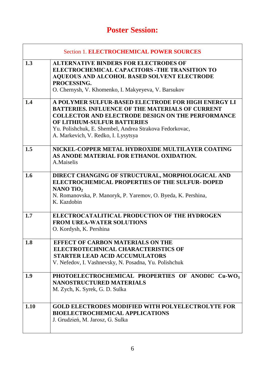## **Poster Session:**

|      | <b>Section 1. ELECTROCHEMICAL POWER SOURCES</b>                                                                                                                                                                                                                                                             |
|------|-------------------------------------------------------------------------------------------------------------------------------------------------------------------------------------------------------------------------------------------------------------------------------------------------------------|
| 1.3  | <b>ALTERNATIVE BINDERS FOR ELECTRODES OF</b><br>ELECTROCHEMICAL CAPACITORS -THE TRANSITION TO<br><b>AQUEOUS AND ALCOHOL BASED SOLVENT ELECTRODE</b><br>PROCESSING.<br>O. Chernysh, V. Khomenko, I. Makyeyeva, V. Barsukov                                                                                   |
| 1.4  | A POLYMER SULFUR-BASED ELECTRODE FOR HIGH ENERGY LI<br><b>BATTERIES. INFLUENCE OF THE MATERIALS OF CURRENT</b><br><b>COLLECTOR AND ELECTRODE DESIGN ON THE PERFORMANCE</b><br>OF LITHIUM-SULFUR BATTERIES<br>Yu. Polishchuk, E. Shembel, Andrea Strakova Fedorkovac,<br>A. Markevich, V. Redko, I. Lysytsya |
| 1.5  | NICKEL-COPPER METAL HYDROXIDE MULTILAYER COATING<br>AS ANODE MATERIAL FOR ETHANOL OXIDATION.<br>A.Maiselis                                                                                                                                                                                                  |
| 1.6  | DIRECT CHANGING OF STRUCTURAL, MORPHOLOGICAL AND<br><b>ELECTROCHEMICAL PROPERTIES OF THE SULFUR- DOPED</b><br>NANO TiO $_2$<br>N. Romanovska, P. Manoryk, P. Yaremov, O. Byeda, K. Pershina,<br>K. Kazdobin                                                                                                 |
| 1.7  | ELECTROCATALITICAL PRODUCTION OF THE HYDROGEN<br><b>FROM UREA-WATER SOLUTIONS</b><br>O. Kordysh, K. Pershina                                                                                                                                                                                                |
| 1.8  | <b>EFFECT OF CARBON MATERIALS ON THE</b><br>ELECTROTECHNICAL CHARACTERISTICS OF<br><b>STARTER LEAD ACID ACCUMULATORS</b><br>V. Nefedov, I. Vashnevsky, N. Posadna, Yu. Polishchuk                                                                                                                           |
| 1.9  | PHOTOELECTROCHEMICAL PROPERTIES OF ANODIC Cu-WO <sub>3</sub><br>NANOSTRUCTURED MATERIALS<br>M. Zych, K. Syrek, G. D. Sulka                                                                                                                                                                                  |
| 1.10 | <b>GOLD ELECTRODES MODIFIED WITH POLYELECTROLYTE FOR</b><br><b>BIOELECTROCHEMICAL APPLICATIONS</b><br>J. Grudzień, M. Jarosz, G. Sulka                                                                                                                                                                      |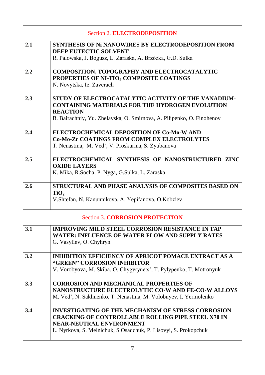|     | <b>Section 2. ELECTRODEPOSITION</b>                                                                                                                                                                                    |  |  |
|-----|------------------------------------------------------------------------------------------------------------------------------------------------------------------------------------------------------------------------|--|--|
| 2.1 | <b>SYNTHESIS OF Ni NANOWIRES BY ELECTRODEPOSITION FROM</b><br>DEEP EUTECTIC SOLVENT<br>R. Palowska, J. Bogusz, L. Zaraska, A. Brzózka, G.D. Sulka                                                                      |  |  |
| 2.2 | <b>COMPOSITION, TOPOGRAPHY AND ELECTROCATALYTIC</b><br>PROPERTIES OF NI-TIO <sub>2</sub> COMPOSITE COATINGS<br>N. Novytska, Ie. Zaverach                                                                               |  |  |
| 2.3 | STUDY OF ELECTROCATALYTIC ACTIVITY OF THE VANADIUM-<br><b>CONTAINING MATERIALS FOR THE HYDROGEN EVOLUTION</b><br><b>REACTION</b><br>B. Bairachniy, Yu. Zhelavska, O. Smirnova, A. Pilipenko, O. Finohenov              |  |  |
| 2.4 | ELECTROCHEMICAL DEPOSITION OF Co-Mo-W AND<br><b>Co-Mo-Zr COATINGS FROM COMPLEX ELECTROLYTES</b><br>T. Nenastina, M. Ved', V. Proskurina, S. Zyubanova                                                                  |  |  |
| 2.5 | ELECTROCHEMICAL SYNTHESIS OF NANOSTRUCTURED ZINC<br><b>OXIDE LAYERS</b><br>K. Mika, R.Socha, P. Nyga, G.Sulka, L. Zaraska                                                                                              |  |  |
| 2.6 | STRUCTURAL AND PHASE ANALYSIS OF COMPOSITES BASED ON<br>TiO <sub>2</sub><br>V. Shtefan, N. Kanunnikova, A. Yepifanova, O. Kobziev                                                                                      |  |  |
|     | <b>Section 3. CORROSION PROTECTION</b>                                                                                                                                                                                 |  |  |
| 3.1 | <b>IMPROVING MILD STEEL CORROSION RESISTANCE IN TAP</b><br><b>WATER: INFLUENCE OF WATER FLOW AND SUPPLY RATES</b><br>G. Vasyliev, O. Chyhryn                                                                           |  |  |
| 3.2 | <b>INHIBITION EFFICIENCY OF APRICOT POMACE EXTRACT AS A</b><br>"GREEN" CORROSION INHIBITOR<br>V. Vorobyova, M. Skiba, O. Chygyrynets', T. Pylypenko, T. Motronyuk                                                      |  |  |
| 3.3 | <b>CORROSION AND MECHANICAL PROPERTIES OF</b><br>NANOSTRUCTURE ELECTROLYTIC CO-W AND FE-CO-W ALLOYS<br>M. Ved', N. Sakhnenko, T. Nenastina, M. Volobuyev, I. Yermolenko                                                |  |  |
| 3.4 | <b>INVESTIGATING OF THE MECHANISM OF STRESS CORROSION</b><br><b>CRACKING OF CONTROLLABLE ROLLING PIPE STEEL X70 IN</b><br>NEAR-NEUTRAL ENVIRONMENT<br>L. Nyrkova, S. Melnichuk, S. Osadchuk, P. Lisovyi, S. Prokopchuk |  |  |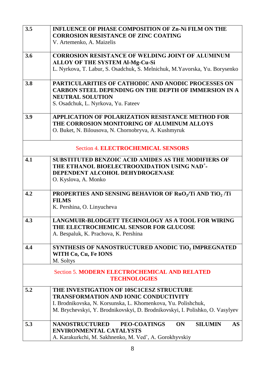| 3.5                                       | <b>INFLUENCE OF PHASE COMPOSITION OF Zn-Ni FILM ON THE</b>                        |  |  |
|-------------------------------------------|-----------------------------------------------------------------------------------|--|--|
|                                           | <b>CORROSION RESISTANCE OF ZINC COATING</b>                                       |  |  |
|                                           | V. Artemenko, A. Maizelis                                                         |  |  |
| 3.6                                       | <b>CORROSION RESISTANCE OF WELDING JOINT OF ALUMINUM</b>                          |  |  |
|                                           | <b>ALLOY OF THE SYSTEM Al-Mg-Cu-Si</b>                                            |  |  |
|                                           | L. Nyrkova, T. Labur, S. Osadchuk, S. Melnichuk, M. Yavorska, Yu. Borysenko       |  |  |
|                                           |                                                                                   |  |  |
| 3.8                                       | <b>PARTICULARITIES OF CATHODIC AND ANODIC PROCESSES ON</b>                        |  |  |
|                                           | <b>CARBON STEEL DEPENDING ON THE DEPTH OF IMMERSION IN A</b>                      |  |  |
|                                           | <b>NEUTRAL SOLUTION</b>                                                           |  |  |
|                                           | S. Osadchuk, L. Nyrkova, Yu. Fateev                                               |  |  |
| 3.9                                       | <b>APPLICATION OF POLARIZATION RESISTANCE METHOD FOR</b>                          |  |  |
|                                           | THE CORROSION MONITORING OF ALUMINUM ALLOYS                                       |  |  |
|                                           | O. Buket, N. Bilousova, N. Chornobryva, A. Kushmyruk                              |  |  |
| <b>Section 4. ELECTROCHEMICAL SENSORS</b> |                                                                                   |  |  |
| 4.1                                       | <b>SUBSTITUTED BENZOIC ACID AMIDES AS THE MODIFIERS OF</b>                        |  |  |
|                                           | THE ETHANOL BIOELECTROOXIDATION USING NAD <sup>+</sup> -                          |  |  |
|                                           | DEPENDENT ALCOHOL DEHYDROGENASE                                                   |  |  |
|                                           | O. Kyslova, A. Monko                                                              |  |  |
|                                           |                                                                                   |  |  |
| 4.2                                       | PROPERTIES AND SENSING BEHAVIOR OF RuO <sub>2</sub> /Ti AND TiO <sub>2</sub> /Ti  |  |  |
|                                           | <b>FILMS</b><br>K. Pershina, O. Linyucheva                                        |  |  |
|                                           |                                                                                   |  |  |
| 4.3                                       | <b>LANGMUIR-BLODGETT TECHNOLOGY AS A TOOL FOR WIRING</b>                          |  |  |
|                                           | THE ELECTROCHEMICAL SENSOR FOR GLUCOSE                                            |  |  |
|                                           | A. Bespaluk, K. Prachova, K. Pershina                                             |  |  |
| 4.4                                       | SYNTHESIS OF NANOSTRUCTURED ANODIC TiO2 IMPREGNATED                               |  |  |
|                                           | WITH Co, Cu, Fe IONS                                                              |  |  |
|                                           | M. Soltys                                                                         |  |  |
|                                           | <b>Section 5. MODERN ELECTROCHEMICAL AND RELATED</b>                              |  |  |
|                                           | <b>TECHNOLOGIES</b>                                                               |  |  |
| 5.2                                       | THE INVESTIGATION OF 10SC1CESZ STRUCTURE                                          |  |  |
|                                           | <b>TRANSFORMATION AND IONIC CONDUCTIVITY</b>                                      |  |  |
|                                           | I. Brodnikovska, N. Korsunska, L. Khomenkova, Yu. Polishchuk,                     |  |  |
|                                           | M. Brychevskyi, Y. Brodnikovskyi, D. Brodnikovskyi, I. Polishko, O. Vasylyev      |  |  |
| 5.3                                       | <b>NANOSTRUCTURED</b><br>PEO-COATINGS<br><b>SILUMIN</b><br><b>ON</b><br><b>AS</b> |  |  |
|                                           | <b>ENVIRONMENTAL CATALYSTS</b>                                                    |  |  |
|                                           | A. Karakurkchi, M. Sakhnenko, M. Ved', A. Gorokhyvskiy                            |  |  |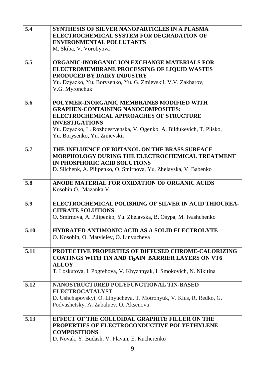| 5.4  | SYNTHESIS OF SILVER NANOPARTICLES IN A PLASMA                         |
|------|-----------------------------------------------------------------------|
|      | ELECTROCHEMICAL SYSTEM FOR DEGRADATION OF                             |
|      | <b>ENVIRONMENTAL POLLUTANTS</b>                                       |
|      | M. Skiba, V. Vorobyova                                                |
|      |                                                                       |
| 5.5  | <b>ORGANIC-INORGANIC ION EXCHANGE MATERIALS FOR</b>                   |
|      | ELECTROMEMBRANE PROCESSING OF LIQUID WASTES                           |
|      | <b>PRODUCED BY DAIRY INDUSTRY</b>                                     |
|      | Yu. Dzyazko, Yu. Borysenko, Yu. G. Zmievskii, V.V. Zakharov,          |
|      | V.G. Myronchuk                                                        |
|      |                                                                       |
| 5.6  | POLYMER-INORGANIC MEMBRANES MODIFIED WITH                             |
|      | <b>GRAPHEN-CONTAINING NANOCOMPOSITES:</b>                             |
|      | <b>ELECTROCHEMICAL APPROACHES OF STRUCTURE</b>                        |
|      | <b>INVESTIGATIONS</b>                                                 |
|      | Yu. Dzyazko, L. Rozhdestvenska, V. Ogenko, A. Bildukevich, T. Plisko, |
|      | Yu. Borysenko, Yu. Zmievskii                                          |
| 5.7  | THE INFLUENCE OF BUTANOL ON THE BRASS SURFACE                         |
|      | <b>MORPHOLOGY DURING THE ELECTROCHEMICAL TREATMENT</b>                |
|      | IN PHOSPHORIC ACID SOLUTIONS                                          |
|      | D. Silchenk, A. Pilipenko, O. Smirnova, Yu. Zhelavska, V. Babenko     |
|      |                                                                       |
| 5.8  | ANODE MATERIAL FOR OXIDATION OF ORGANIC ACIDS                         |
|      | Kosohin O., Mazanka V.                                                |
|      |                                                                       |
| 5.9  | ELECTROCHEMICAL POLISHING OF SILVER IN ACID THIOUREA-                 |
|      | <b>CITRATE SOLUTIONS</b>                                              |
|      | O. Smirnova, A. Pilipenko, Yu. Zhelavska, B. Osypa, M. Ivashchenko    |
|      |                                                                       |
| 5.10 | <b>HYDRATED ANTIMONIC ACID AS A SOLID ELECTROLYTE</b>                 |
|      | O. Kosohin, O. Matvieiev, O. Linyucheva                               |
|      |                                                                       |
| 5.11 | PROTECTIVE PROPERTIES OF DIFFUSED CHROME-CALORIZING                   |
|      | <b>COATINGS WITH TIN AND TI<sub>2</sub>AIN BARRIER LAYERS ON VT6</b>  |
|      | <b>ALLOY</b>                                                          |
|      | T. Loskutova, I. Pogrebova, V. Khyzhnyak, I. Smokovich, N. Nikitina   |
| 5.12 | NANOSTRUCTURED POLYFUNCTIONAL TIN-BASED                               |
|      | <b>ELECTROCATALYST</b>                                                |
|      | D. Ushchapovskyi, O. Linyucheva, T. Motronyuk, V. Klus, R. Redko, G.  |
|      | Podvashetsky, A. Zabaluev, O. Aksenova                                |
|      |                                                                       |
| 5.13 | <b>EFFECT OF THE COLLOIDAL GRAPHITE FILLER ON THE</b>                 |
|      | PROPERTIES OF ELECTROCONDUCTIVE POLYETHYLENE                          |
|      | <b>COMPOSITIONS</b>                                                   |
|      | D. Novak, Y. Budash, V. Plavan, E. Kucherenko                         |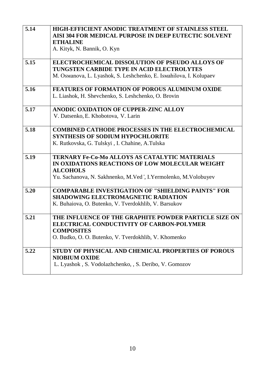| 5.14 | <b>HIGH-EFFICIENT ANODIC TREATMENT OF STAINLESS STEEL</b><br>AISI 304 FOR MEDICAL PURPOSE IN DEEP EUTECTIC SOLVENT<br><b>ETHALINE</b><br>A. Kityk, N. Bannik, O. Kyn                             |
|------|--------------------------------------------------------------------------------------------------------------------------------------------------------------------------------------------------|
| 5.15 | <b>ELECTROCHEMICAL DISSOLUTION OF PSEUDO ALLOYS OF</b><br>TUNGSTEN CARBIDE TYPE IN ACID ELECTROLYTES<br>M. Osmanova, L. Lyashok, S. Leshchenko, E. Ismahilova, I. Kolupaev                       |
| 5.16 | <b>FEATURES OF FORMATION OF POROUS ALUMINUM OXIDE</b><br>L. Liashok, H. Shevchenko, S. Leshchenko, O. Brovin                                                                                     |
| 5.17 | ANODIC OXIDATION OF CUPPER-ZINC ALLOY<br>V. Datsenko, E. Khobotova, V. Larin                                                                                                                     |
| 5.18 | <b>COMBINED CATHODE PROCESSES IN THE ELECTROCHEMICAL</b><br><b>SYNTHESIS OF SODIUM HYPOCHLORITE</b><br>K. Rutkovska, G. Tulskyi, I. Chahine, A.Tulska                                            |
| 5.19 | <b>TERNARY Fe-Co-Mo ALLOYS AS CATALYTIC MATERIALS</b><br>IN OXIDATIONS REACTIONS OF LOW MOLECULAR WEIGHT<br><b>ALCOHOLS</b><br>Yu. Sachanova, N. Sakhnenko, M. Ved', I. Yermolenko, M. Volobuyev |
| 5.20 | <b>COMPARABLE INVESTIGATION OF "SHIELDING PAINTS" FOR</b><br><b>SHADOWING ELECTROMAGNETIC RADIATION</b><br>K. Buhaiova, O. Butenko, V. Tverdokhlib, V. Barsukov                                  |
| 5.21 | THE INFLUENCE OF THE GRAPHITE POWDER PARTICLE SIZE ON<br>ELECTRICAL CONDUCTIVITY OF CARBON-POLYMER<br><b>COMPOSITES</b><br>O. Budko, O. O. Butenko, V. Tverdokhlib, V. Khomenko                  |
| 5.22 | STUDY OF PHYSICAL AND CHEMICAL PROPERTIES OF POROUS<br><b>NIOBIUM OXIDE</b><br>L. Lyashok, S. Vodolazhchenko, , S. Deribo, V. Gomozov                                                            |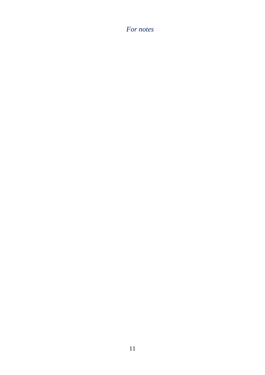## *For notes*